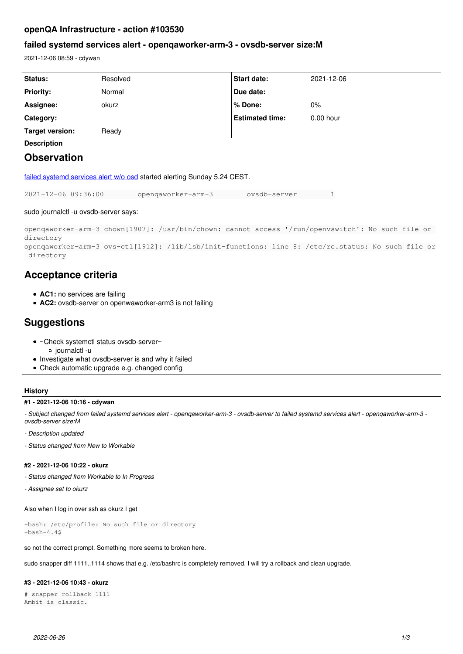# **openQA Infrastructure - action #103530**

## **failed systemd services alert - openqaworker-arm-3 - ovsdb-server size:M**

2021-12-06 08:59 - cdywan

| Status:                                                                                                         | Resolved           | <b>Start date:</b>     | 2021-12-06  |
|-----------------------------------------------------------------------------------------------------------------|--------------------|------------------------|-------------|
| <b>Priority:</b>                                                                                                | Normal             | Due date:              |             |
| Assignee:                                                                                                       | okurz              | % Done:                | 0%          |
| Category:                                                                                                       |                    | <b>Estimated time:</b> | $0.00$ hour |
| <b>Target version:</b>                                                                                          | Ready              |                        |             |
| <b>Description</b>                                                                                              |                    |                        |             |
| <b>Observation</b>                                                                                              |                    |                        |             |
| failed systemd services alert w/o osd started alerting Sunday 5.24 CEST.                                        |                    |                        |             |
| 2021-12-06 09:36:00                                                                                             | opengaworker-arm-3 | ovsdb-server           | 1           |
| sudo journalctl -u ovsdb-server says:                                                                           |                    |                        |             |
| openqaworker-arm-3 chown[1907]: /usr/bin/chown: cannot access '/run/openvswitch': No such file or<br>directory  |                    |                        |             |
| openqaworker-arm-3 ovs-ctl[1912]: /lib/lsb/init-functions: line 8: /etc/rc.status: No such file or<br>directory |                    |                        |             |
| Acceptance criteria                                                                                             |                    |                        |             |
| • AC1: no services are failing<br>• AC2: ovsdb-server on openwaworker-arm3 is not failing                       |                    |                        |             |
| <b>Suggestions</b>                                                                                              |                    |                        |             |
| • ~Check systemctl status ovsdb-server~                                                                         |                    |                        |             |
| o journalctl -u<br>• Investigate what ovsdb-server is and why it failed                                         |                    |                        |             |
| • Check automatic upgrade e.g. changed config                                                                   |                    |                        |             |

## **History**

### **#1 - 2021-12-06 10:16 - cdywan**

*- Subject changed from failed systemd services alert - openqaworker-arm-3 - ovsdb-server to failed systemd services alert - openqaworker-arm-3 ovsdb-server size:M*

- *Description updated*
- *Status changed from New to Workable*

### **#2 - 2021-12-06 10:22 - okurz**

- *Status changed from Workable to In Progress*
- *Assignee set to okurz*

Also when I log in over ssh as okurz I get

-bash: /etc/profile: No such file or directory  $-bash-4.4$ \$

so not the correct prompt. Something more seems to broken here.

sudo snapper diff 1111..1114 shows that e.g. /etc/bashrc is completely removed. I will try a rollback and clean upgrade.

## **#3 - 2021-12-06 10:43 - okurz**

```
# snapper rollback 1111
Ambit is classic.
```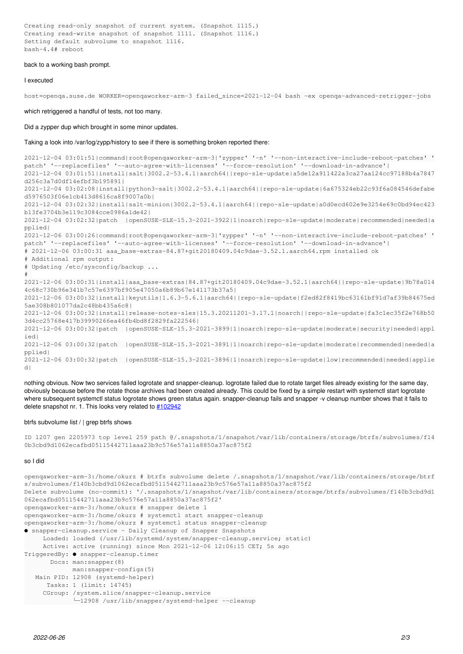#### back to a working bash prompt.

#### I executed

host=openqa.suse.de WORKER=openqaworker-arm-3 failed\_since=2021-12-04 bash -ex openqa-advanced-retrigger-jobs

which retriggered a handful of tests, not too many.

Did a zypper dup which brought in some minor updates.

Taking a look into /var/log/zypp/history to see if there is something broken reported there:

2021-12-04 03:01:51|command|root@openqaworker-arm-3|'zypper' '-n' '--non-interactive-include-reboot-patches' ' patch' '--replacefiles' '--auto-agree-with-licenses' '--force-resolution' '--download-in-advance'| 2021-12-04 03:01:51|install|salt|3002.2-53.4.1|aarch64||repo-sle-update|a5de12a911422a3ca27aa124cc97188b4a7847 d256c3a7d0df14efbf3b195891| 2021-12-04 03:02:08|install|python3-salt|3002.2-53.4.1|aarch64||repo-sle-update|6a675324eb22c93f6a084546defabe d5976503f06e1cb413d8616ca8f9007a0b| 2021-12-04 03:02:32|install|salt-minion|3002.2-53.4.1|aarch64||repo-sle-update|a0d0ecd602e9e3254e69c0bd94ec423 b13fe3704b3e119c3084cce0986a1de42| 2021-12-04 03:02:32|patch |openSUSE-SLE-15.3-2021-3922|1|noarch|repo-sle-update|moderate|recommended|needed|a pplied| 2021-12-06 03:00:26|command|root@openqaworker-arm-3|'zypper' '-n' '--non-interactive-include-reboot-patches' ' patch' '--replacefiles' '--auto-agree-with-licenses' '--force-resolution' '--download-in-advance'| # 2021-12-06 03:00:31 aaa\_base-extras-84.87+git20180409.04c9dae-3.52.1.aarch64.rpm installed ok # Additional rpm output: # Updating /etc/sysconfig/backup ... # 2021-12-06 03:00:31|install|aaa\_base-extras|84.87+git20180409.04c9dae-3.52.1|aarch64||repo-sle-update|9b78a014 4c68c730b96e341b7c57e6397bf905e47050a6b89b67e141173b37a5| 2021-12-06 03:00:32|install|keyutils|1.6.3-5.6.1|aarch64||repo-sle-update|f2ed82f8419bc63161bf91d7af39b84675ed 5ae308b801077da2c48bb435a6c8| 2021-12-06 03:00:32|install|release-notes-sles|15.3.20211201-3.17.1|noarch||repo-sle-update|fa3c1ec35f2e768b50 3d4cc25768e417b39990266ea46fb4bd8f2829fa222546| 2021-12-06 03:00:32|patch |openSUSE-SLE-15.3-2021-3899|1|noarch|repo-sle-update|moderate|security|needed|appl ied| 2021-12-06 03:00:32|patch |openSUSE-SLE-15.3-2021-3891|1|noarch|repo-sle-update|moderate|recommended|needed|a pplied| 2021-12-06 03:00:32|patch |openSUSE-SLE-15.3-2021-3896|1|noarch|repo-sle-update|low|recommended|needed|applie d|

nothing obvious. Now two services failed logrotate and snapper-cleanup. logrotate failed due to rotate target files already existing for the same day, obviously because before the rotate those archives had been created already. This could be fixed by a simple restart with systemctl start logrotate where subsequent systemctl status logrotate shows green status again. snapper-cleanup fails and snapper -y cleanup number shows that it fails to delete snapshot nr. 1. This looks very related to [#102942](https://progress.opensuse.org/issues/102942)

#### btrfs subvolume list / | grep btrfs shows

ID 1207 gen 2205973 top level 259 path @/.snapshots/1/snapshot/var/lib/containers/storage/btrfs/subvolumes/f14 0b3cbd9d1062ecafbd05115442711aaa23b9c576e57a11a8850a37ac875f2

#### so I did

```
openqaworker-arm-3:/home/okurz # btrfs subvolume delete /.snapshots/1/snapshot/var/lib/containers/storage/btrf
s/subvolumes/f140b3cbd9d1062ecafbd05115442711aaa23b9c576e57a11a8850a37ac875f2
Delete subvolume (no-commit): '/.snapshots/1/snapshot/var/lib/containers/storage/btrfs/subvolumes/f140b3cbd9d1
062ecafbd05115442711aaa23b9c576e57a11a8850a37ac875f2'
openqaworker-arm-3:/home/okurz # snapper delete 1
openqaworker-arm-3:/home/okurz # systemctl start snapper-cleanup
openqaworker-arm-3:/home/okurz # systemctl status snapper-cleanup
● snapper-cleanup.service - Daily Cleanup of Snapper Snapshots
     Loaded: loaded (/usr/lib/systemd/system/snapper-cleanup.service; static)
          Active: active (running) since Mon 2021-12-06 12:06:15 CET; 5s ago
TriggeredBy: ● snapper-cleanup.timer
              Docs: man:snapper(8)
                          man:snapper-configs(5)
      Main PID: 12908 (systemd-helper)
           Tasks: 1 (limit: 14745)
          CGroup: /system.slice/snapper-cleanup.service
                          └─12908 /usr/lib/snapper/systemd-helper --cleanup
```